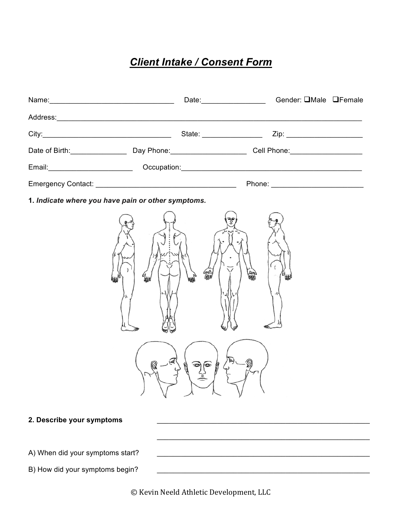## *Client Intake / Consent Form*

| Name: Name:                      |                                                    | Gender: OMale OFemale                                                                                                                                                                                                          |
|----------------------------------|----------------------------------------------------|--------------------------------------------------------------------------------------------------------------------------------------------------------------------------------------------------------------------------------|
|                                  |                                                    |                                                                                                                                                                                                                                |
|                                  |                                                    |                                                                                                                                                                                                                                |
|                                  |                                                    | Date of Birth: ______________________Day Phone: ___________________________Cell Phone: ______________________                                                                                                                  |
|                                  |                                                    | Email: Contract Contract Contract Contract Contract Contract Contract Contract Contract Contract Contract Contract Contract Contract Contract Contract Contract Contract Contract Contract Contract Contract Contract Contract |
|                                  |                                                    |                                                                                                                                                                                                                                |
|                                  | 1. Indicate where you have pain or other symptoms. |                                                                                                                                                                                                                                |
|                                  | 嘴                                                  | ัน∰                                                                                                                                                                                                                            |
|                                  | $\sim$ V                                           |                                                                                                                                                                                                                                |
| 2. Describe your symptoms        |                                                    |                                                                                                                                                                                                                                |
| A) When did your symptoms start? |                                                    |                                                                                                                                                                                                                                |
| B) How did your symptoms begin?  |                                                    |                                                                                                                                                                                                                                |

© Kevin Neeld Athletic Development, LLC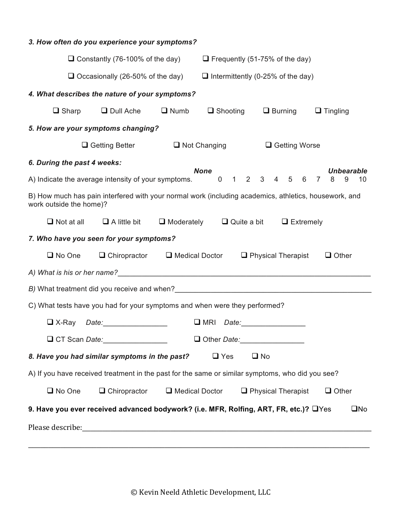|                                                                                                                                  |                                                                                             | 3. How often do you experience your symptoms? |                                       |                                          |              |                           |  |                 |                              |
|----------------------------------------------------------------------------------------------------------------------------------|---------------------------------------------------------------------------------------------|-----------------------------------------------|---------------------------------------|------------------------------------------|--------------|---------------------------|--|-----------------|------------------------------|
|                                                                                                                                  | $\Box$ Constantly (76-100% of the day)                                                      |                                               | $\Box$ Frequently (51-75% of the day) |                                          |              |                           |  |                 |                              |
|                                                                                                                                  | $\Box$ Occasionally (26-50% of the day)                                                     |                                               |                                       | $\Box$ Intermittently (0-25% of the day) |              |                           |  |                 |                              |
| 4. What describes the nature of your symptoms?                                                                                   |                                                                                             |                                               |                                       |                                          |              |                           |  |                 |                              |
| $\Box$ Sharp                                                                                                                     | Dull Ache                                                                                   | $\Box$ Numb                                   | $\Box$ Shooting                       |                                          |              | $\Box$ Burning            |  | $\Box$ Tingling |                              |
| 5. How are your symptoms changing?                                                                                               |                                                                                             |                                               |                                       |                                          |              |                           |  |                 |                              |
|                                                                                                                                  | $\Box$ Getting Better $\Box$ Not Changing                                                   |                                               |                                       |                                          |              | □ Getting Worse           |  |                 |                              |
| 6. During the past 4 weeks:                                                                                                      |                                                                                             |                                               |                                       |                                          |              |                           |  |                 |                              |
| A) Indicate the average intensity of your symptoms. 0 1 2 3 4 5 6 7 8                                                            |                                                                                             |                                               | <b>None</b>                           |                                          |              |                           |  |                 | <b>Unbearable</b><br>9<br>10 |
| B) How much has pain interfered with your normal work (including academics, athletics, housework, and<br>work outside the home)? |                                                                                             |                                               |                                       |                                          |              |                           |  |                 |                              |
|                                                                                                                                  | $\Box$ Not at all $\Box$ A little bit $\Box$ Moderately $\Box$ Quite a bit $\Box$ Extremely |                                               |                                       |                                          |              |                           |  |                 |                              |
| 7. Who have you seen for your symptoms?                                                                                          |                                                                                             |                                               |                                       |                                          |              |                           |  |                 |                              |
|                                                                                                                                  | $\Box$ No One $\Box$ Chiropractor $\Box$ Medical Doctor $\Box$ Physical Therapist           |                                               |                                       |                                          |              |                           |  | $\Box$ Other    |                              |
|                                                                                                                                  |                                                                                             |                                               |                                       |                                          |              |                           |  |                 |                              |
|                                                                                                                                  |                                                                                             |                                               |                                       |                                          |              |                           |  |                 |                              |
| C) What tests have you had for your symptoms and when were they performed?                                                       |                                                                                             |                                               |                                       |                                          |              |                           |  |                 |                              |
| $\Box$ X-Ray                                                                                                                     |                                                                                             | $\square$ MRI<br>Date: Date:                  |                                       |                                          |              |                           |  |                 |                              |
|                                                                                                                                  |                                                                                             |                                               |                                       |                                          |              |                           |  |                 |                              |
|                                                                                                                                  | O CT Scan Date: 1997                                                                        |                                               | Other Date: 1988                      |                                          |              |                           |  |                 |                              |
| 8. Have you had similar symptoms in the past?                                                                                    |                                                                                             |                                               | $\Box$ Yes                            |                                          | $\square$ No |                           |  |                 |                              |
| A) If you have received treatment in the past for the same or similar symptoms, who did you see?                                 |                                                                                             |                                               |                                       |                                          |              |                           |  |                 |                              |
| $\Box$ No One                                                                                                                    | $\Box$ Chiropractor                                                                         | $\Box$ Medical Doctor                         |                                       |                                          |              | $\Box$ Physical Therapist |  | $\Box$ Other    |                              |
| 9. Have you ever received advanced bodywork? (i.e. MFR, Rolfing, ART, FR, etc.)? UYes                                            |                                                                                             |                                               |                                       |                                          |              |                           |  |                 | $\square$ No                 |
|                                                                                                                                  |                                                                                             |                                               |                                       |                                          |              |                           |  |                 |                              |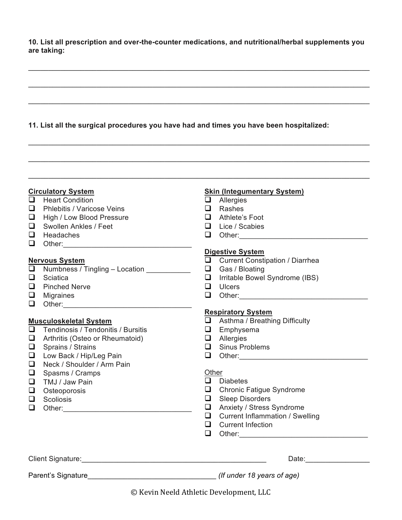**10. List all prescription and over-the-counter medications, and nutritional/herbal supplements you are taking:**

 $\mathcal{L}_\mathcal{L} = \{ \mathcal{L}_\mathcal{L} = \{ \mathcal{L}_\mathcal{L} = \{ \mathcal{L}_\mathcal{L} = \{ \mathcal{L}_\mathcal{L} = \{ \mathcal{L}_\mathcal{L} = \{ \mathcal{L}_\mathcal{L} = \{ \mathcal{L}_\mathcal{L} = \{ \mathcal{L}_\mathcal{L} = \{ \mathcal{L}_\mathcal{L} = \{ \mathcal{L}_\mathcal{L} = \{ \mathcal{L}_\mathcal{L} = \{ \mathcal{L}_\mathcal{L} = \{ \mathcal{L}_\mathcal{L} = \{ \mathcal{L}_\mathcal{$ 

 $\mathcal{L}_\mathcal{L} = \{ \mathcal{L}_\mathcal{L} = \{ \mathcal{L}_\mathcal{L} = \{ \mathcal{L}_\mathcal{L} = \{ \mathcal{L}_\mathcal{L} = \{ \mathcal{L}_\mathcal{L} = \{ \mathcal{L}_\mathcal{L} = \{ \mathcal{L}_\mathcal{L} = \{ \mathcal{L}_\mathcal{L} = \{ \mathcal{L}_\mathcal{L} = \{ \mathcal{L}_\mathcal{L} = \{ \mathcal{L}_\mathcal{L} = \{ \mathcal{L}_\mathcal{L} = \{ \mathcal{L}_\mathcal{L} = \{ \mathcal{L}_\mathcal{$ 

 $\mathcal{L}_\mathcal{L} = \{ \mathcal{L}_\mathcal{L} = \{ \mathcal{L}_\mathcal{L} = \{ \mathcal{L}_\mathcal{L} = \{ \mathcal{L}_\mathcal{L} = \{ \mathcal{L}_\mathcal{L} = \{ \mathcal{L}_\mathcal{L} = \{ \mathcal{L}_\mathcal{L} = \{ \mathcal{L}_\mathcal{L} = \{ \mathcal{L}_\mathcal{L} = \{ \mathcal{L}_\mathcal{L} = \{ \mathcal{L}_\mathcal{L} = \{ \mathcal{L}_\mathcal{L} = \{ \mathcal{L}_\mathcal{L} = \{ \mathcal{L}_\mathcal{$ 

 $\mathcal{L}_\mathcal{L} = \{ \mathcal{L}_\mathcal{L} = \{ \mathcal{L}_\mathcal{L} = \{ \mathcal{L}_\mathcal{L} = \{ \mathcal{L}_\mathcal{L} = \{ \mathcal{L}_\mathcal{L} = \{ \mathcal{L}_\mathcal{L} = \{ \mathcal{L}_\mathcal{L} = \{ \mathcal{L}_\mathcal{L} = \{ \mathcal{L}_\mathcal{L} = \{ \mathcal{L}_\mathcal{L} = \{ \mathcal{L}_\mathcal{L} = \{ \mathcal{L}_\mathcal{L} = \{ \mathcal{L}_\mathcal{L} = \{ \mathcal{L}_\mathcal{$ 

 $\mathcal{L}_\mathcal{L} = \{ \mathcal{L}_\mathcal{L} = \{ \mathcal{L}_\mathcal{L} = \{ \mathcal{L}_\mathcal{L} = \{ \mathcal{L}_\mathcal{L} = \{ \mathcal{L}_\mathcal{L} = \{ \mathcal{L}_\mathcal{L} = \{ \mathcal{L}_\mathcal{L} = \{ \mathcal{L}_\mathcal{L} = \{ \mathcal{L}_\mathcal{L} = \{ \mathcal{L}_\mathcal{L} = \{ \mathcal{L}_\mathcal{L} = \{ \mathcal{L}_\mathcal{L} = \{ \mathcal{L}_\mathcal{L} = \{ \mathcal{L}_\mathcal{$ 

 $\mathcal{L}_\mathcal{L} = \{ \mathcal{L}_\mathcal{L} = \{ \mathcal{L}_\mathcal{L} = \{ \mathcal{L}_\mathcal{L} = \{ \mathcal{L}_\mathcal{L} = \{ \mathcal{L}_\mathcal{L} = \{ \mathcal{L}_\mathcal{L} = \{ \mathcal{L}_\mathcal{L} = \{ \mathcal{L}_\mathcal{L} = \{ \mathcal{L}_\mathcal{L} = \{ \mathcal{L}_\mathcal{L} = \{ \mathcal{L}_\mathcal{L} = \{ \mathcal{L}_\mathcal{L} = \{ \mathcal{L}_\mathcal{L} = \{ \mathcal{L}_\mathcal{$ 

## **11. List all the surgical procedures you have had and times you have been hospitalized:**

| <b>Circulatory System</b><br>0<br><b>Heart Condition</b><br>Phlebitis / Varicose Veins<br>❏<br>$\Box$<br>High / Low Blood Pressure<br>Swollen Ankles / Feet<br>❏<br>❏<br>Headaches<br>$\Box$             | <b>Skin (Integumentary System)</b><br>Allergies<br>⊔ ⊢<br>Rashes<br>$\Box$<br>$\Box$ Athlete's Foot<br>$\Box$ Lice / Scabies<br>$\Box$                                                                                                     |
|----------------------------------------------------------------------------------------------------------------------------------------------------------------------------------------------------------|--------------------------------------------------------------------------------------------------------------------------------------------------------------------------------------------------------------------------------------------|
| <b>Nervous System</b><br>Numbness / Tingling - Location<br>$\Box$<br>Sciatica<br>$\Box$<br><b>Pinched Nerve</b><br>$\Box$<br>❏<br>Migraines                                                              | <b>Digestive System</b><br><b>Current Constipation / Diarrhea</b><br>$\Box$<br>$\Box$ Gas / Bloating<br>Irritable Bowel Syndrome (IBS)<br>$\Box$<br><b>Ulcers</b><br>$\Box$<br>$\Box$                                                      |
| $\Box$<br><b>Musculoskeletal System</b><br>Tendinosis / Tendonitis / Bursitis<br>$\Box$<br>$\Box$<br>Arthritis (Osteo or Rheumatoid)<br>Sprains / Strains<br>$\Box$<br>Low Back / Hip/Leg Pain<br>$\Box$ | <b>Respiratory System</b><br>$\Box$ Asthma / Breathing Difficulty<br>$\Box$ Emphysema<br>$\Box$ Allergies<br>$\Box$ Sinus Problems                                                                                                         |
| Neck / Shoulder / Arm Pain<br>$\Box$<br>Spasms / Cramps<br>❏<br>$\Box$<br>TMJ / Jaw Pain<br>$\Box$<br>Osteoporosis<br>Scoliosis<br>$\Box$<br>$\Box$                                                      | Other<br>$\Box$<br><b>Diabetes</b><br>$\Box$ Chronic Fatigue Syndrome<br><b>Sleep Disorders</b><br>$\Box$<br>Anxiety / Stress Syndrome<br><b>Current Inflammation / Swelling</b><br>$\Box$<br><b>Current Infection</b><br>$\Box$<br>$\Box$ |
| Parent's Signature                                                                                                                                                                                       | (If under 18 years of age) (If under 18 years of age)                                                                                                                                                                                      |

© Kevin Neeld Athletic Development, LLC